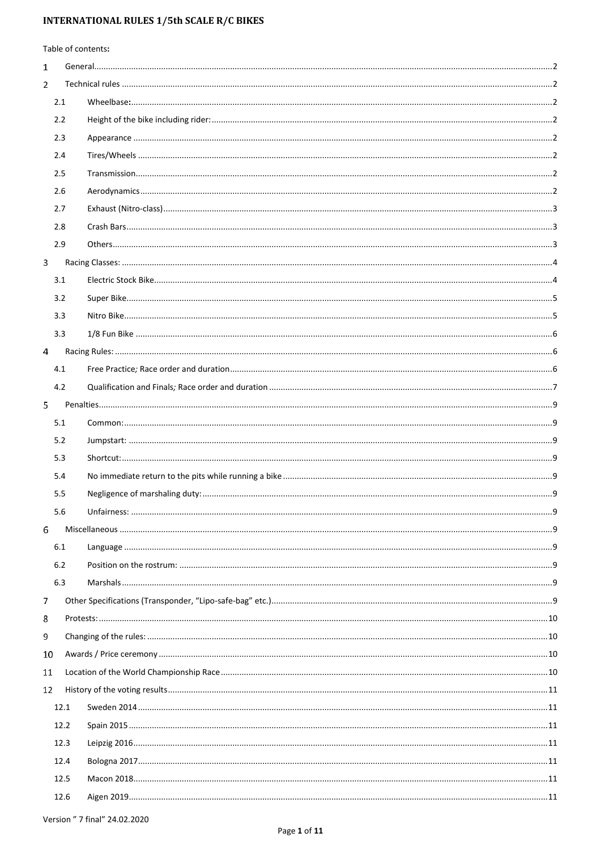| Table of contents: |      |  |  |  |  |  |
|--------------------|------|--|--|--|--|--|
| 1                  |      |  |  |  |  |  |
| $\overline{2}$     |      |  |  |  |  |  |
|                    | 2.1  |  |  |  |  |  |
|                    | 2.2  |  |  |  |  |  |
|                    | 2.3  |  |  |  |  |  |
|                    | 2.4  |  |  |  |  |  |
|                    | 2.5  |  |  |  |  |  |
|                    | 2.6  |  |  |  |  |  |
|                    | 2.7  |  |  |  |  |  |
|                    | 2.8  |  |  |  |  |  |
|                    | 2.9  |  |  |  |  |  |
| 3                  |      |  |  |  |  |  |
|                    | 3.1  |  |  |  |  |  |
|                    | 3.2  |  |  |  |  |  |
|                    | 3.3  |  |  |  |  |  |
|                    | 3.3  |  |  |  |  |  |
| 4                  |      |  |  |  |  |  |
|                    | 4.1  |  |  |  |  |  |
|                    | 4.2  |  |  |  |  |  |
| 5.                 |      |  |  |  |  |  |
|                    | 5.1  |  |  |  |  |  |
|                    | 5.2  |  |  |  |  |  |
|                    | 5.3  |  |  |  |  |  |
|                    | 5.4  |  |  |  |  |  |
|                    | 5.5  |  |  |  |  |  |
|                    | 5.6  |  |  |  |  |  |
| 6                  |      |  |  |  |  |  |
|                    | 6.1  |  |  |  |  |  |
|                    | 6.2  |  |  |  |  |  |
|                    | 6.3  |  |  |  |  |  |
| 7                  |      |  |  |  |  |  |
| 8                  |      |  |  |  |  |  |
| 9                  |      |  |  |  |  |  |
| 10                 |      |  |  |  |  |  |
| 11                 |      |  |  |  |  |  |
| 12                 |      |  |  |  |  |  |
|                    | 12.1 |  |  |  |  |  |
|                    | 12.2 |  |  |  |  |  |
|                    | 12.3 |  |  |  |  |  |
|                    | 12.4 |  |  |  |  |  |
|                    | 12.5 |  |  |  |  |  |
|                    | 12.6 |  |  |  |  |  |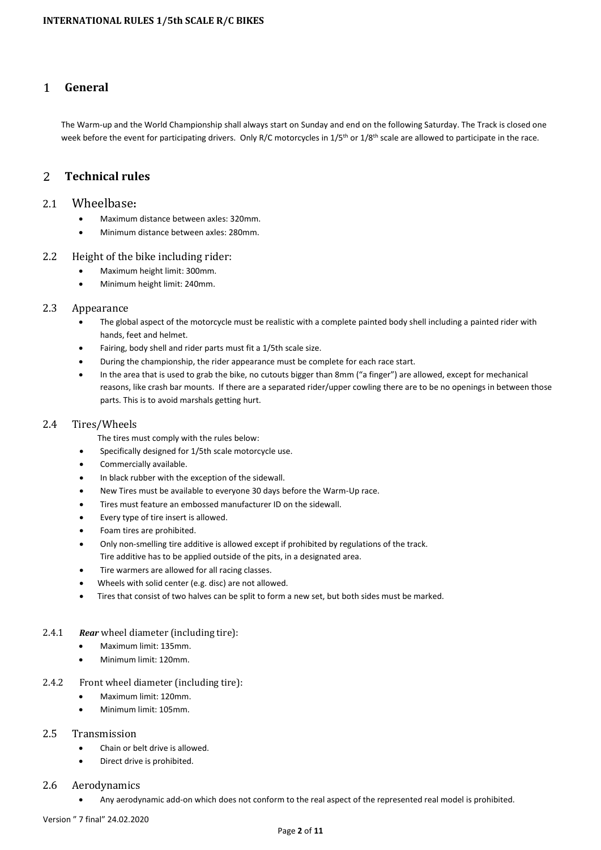#### <span id="page-1-0"></span> $\mathbf{1}$ **General**

The Warm-up and the World Championship shall always start on Sunday and end on the following Saturday. The Track is closed one week before the event for participating drivers. Only R/C motorcycles in 1/5<sup>th</sup> or 1/8<sup>th</sup> scale are allowed to participate in the race.

#### <span id="page-1-1"></span>**Technical rules**  $\overline{2}$

# <span id="page-1-2"></span>2.1 Wheelbase**:**

- Maximum distance between axles: 320mm.
- Minimum distance between axles: 280mm.

### <span id="page-1-3"></span>2.2 Height of the bike including rider:

- Maximum height limit: 300mm.
- Minimum height limit: 240mm.

# <span id="page-1-4"></span>2.3 Appearance

- The global aspect of the motorcycle must be realistic with a complete painted body shell including a painted rider with hands, feet and helmet.
- Fairing, body shell and rider parts must fit a 1/5th scale size.
- During the championship, the rider appearance must be complete for each race start.
- In the area that is used to grab the bike, no cutouts bigger than 8mm ("a finger") are allowed, except for mechanical reasons, like crash bar mounts. If there are a separated rider/upper cowling there are to be no openings in between those parts. This is to avoid marshals getting hurt.

#### <span id="page-1-5"></span>2.4 Tires/Wheels

- The tires must comply with the rules below:
- Specifically designed for 1/5th scale motorcycle use.
- Commercially available.
- In black rubber with the exception of the sidewall.
- New Tires must be available to everyone 30 days before the Warm-Up race.
- Tires must feature an embossed manufacturer ID on the sidewall.
- Every type of tire insert is allowed.
- Foam tires are prohibited.
- Only non-smelling tire additive is allowed except if prohibited by regulations of the track.
- Tire additive has to be applied outside of the pits, in a designated area.
- Tire warmers are allowed for all racing classes.
- Wheels with solid center (e.g. disc) are not allowed.
- Tires that consist of two halves can be split to form a new set, but both sides must be marked.
- 2.4.1 *Rear* wheel diameter (including tire):
	- Maximum limit: 135mm.
	- Minimum limit: 120mm.

### 2.4.2 Front wheel diameter (including tire):

- Maximum limit: 120mm.
- Minimum limit: 105mm.

### <span id="page-1-6"></span>2.5 Transmission

- Chain or belt drive is allowed.
- Direct drive is prohibited.

### <span id="page-1-7"></span>2.6 Aerodynamics

• Any aerodynamic add-on which does not conform to the real aspect of the represented real model is prohibited.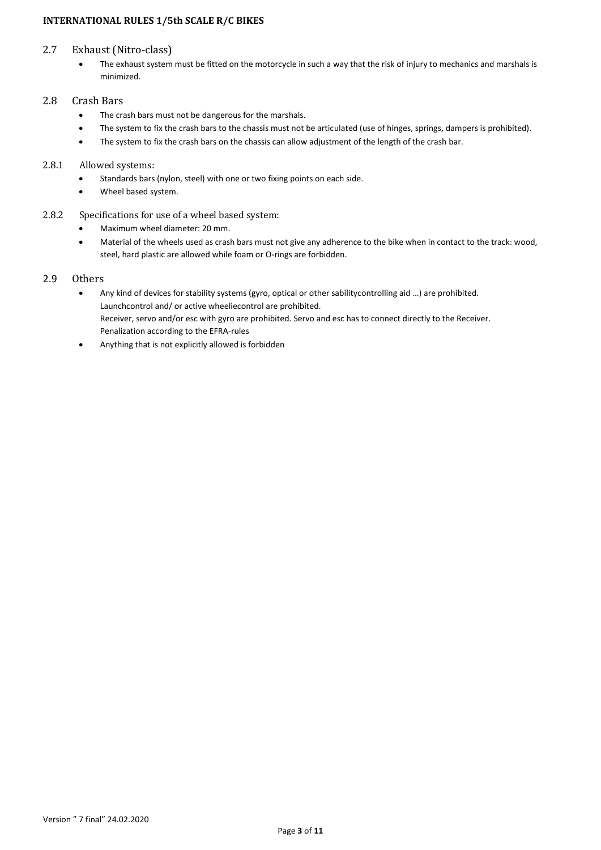### <span id="page-2-0"></span>2.7 Exhaust (Nitro-class)

• The exhaust system must be fitted on the motorcycle in such a way that the risk of injury to mechanics and marshals is minimized.

# <span id="page-2-1"></span>2.8 Crash Bars

- The crash bars must not be dangerous for the marshals.
- The system to fix the crash bars to the chassis must not be articulated (use of hinges, springs, dampers is prohibited).
- The system to fix the crash bars on the chassis can allow adjustment of the length of the crash bar.

# 2.8.1 Allowed systems:

- Standards bars (nylon, steel) with one or two fixing points on each side.
- Wheel based system.
- 2.8.2 Specifications for use of a wheel based system:
	- Maximum wheel diameter: 20 mm.
	- Material of the wheels used as crash bars must not give any adherence to the bike when in contact to the track: wood, steel, hard plastic are allowed while foam or O-rings are forbidden.

# <span id="page-2-2"></span>2.9 Others

- Any kind of devices for stability systems (gyro, optical or other sabilitycontrolling aid …) are prohibited. Launchcontrol and/ or active wheeliecontrol are prohibited. Receiver, servo and/or esc with gyro are prohibited. Servo and esc has to connect directly to the Receiver. Penalization according to the EFRA-rules
- Anything that is not explicitly allowed is forbidden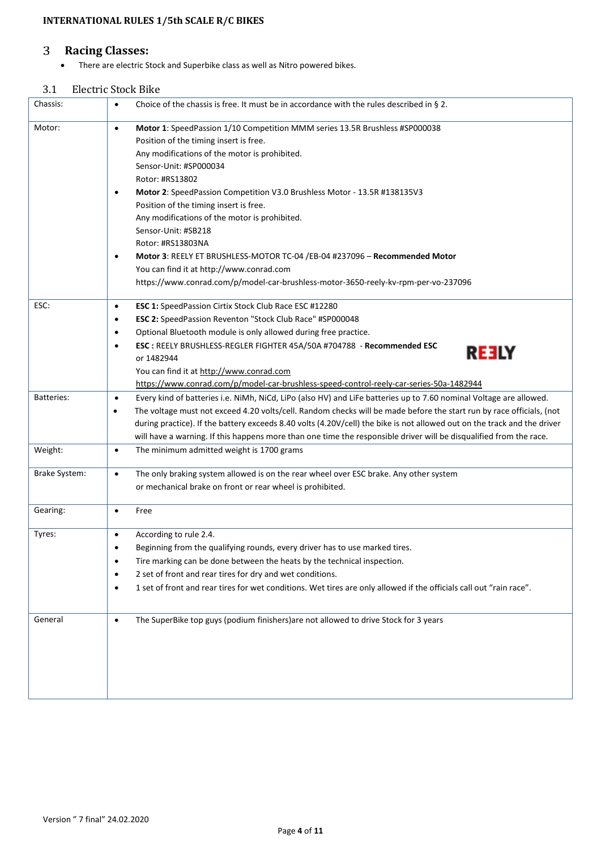#### <span id="page-3-0"></span> $\overline{3}$ **Racing Classes:**

• There are electric Stock and Superbike class as well as Nitro powered bikes.

# <span id="page-3-1"></span>3.1 Electric Stock Bike

| Chassis:          | Choice of the chassis is free. It must be in accordance with the rules described in $\S$ 2.<br>$\bullet$                                                                                                                                                                                                                                                                                                                                                                                                                                                                                                                                                                                      |
|-------------------|-----------------------------------------------------------------------------------------------------------------------------------------------------------------------------------------------------------------------------------------------------------------------------------------------------------------------------------------------------------------------------------------------------------------------------------------------------------------------------------------------------------------------------------------------------------------------------------------------------------------------------------------------------------------------------------------------|
| Motor:            | Motor 1: SpeedPassion 1/10 Competition MMM series 13.5R Brushless #SP000038<br>$\bullet$<br>Position of the timing insert is free.<br>Any modifications of the motor is prohibited.<br>Sensor-Unit: #SP000034<br>Rotor: #RS13802<br>Motor 2: SpeedPassion Competition V3.0 Brushless Motor - 13.5R #138135V3<br>$\bullet$<br>Position of the timing insert is free.<br>Any modifications of the motor is prohibited.<br>Sensor-Unit: #SB218<br>Rotor: #RS13803NA<br>Motor 3: REELY ET BRUSHLESS-MOTOR TC-04 /EB-04 #237096 - Recommended Motor<br>$\bullet$<br>You can find it at http://www.conrad.com<br>https://www.conrad.com/p/model-car-brushless-motor-3650-reely-kv-rpm-per-vo-237096 |
| ESC:              | ESC 1: SpeedPassion Cirtix Stock Club Race ESC #12280<br>$\bullet$<br>ESC 2: SpeedPassion Reventon "Stock Club Race" #SP000048<br>٠<br>Optional Bluetooth module is only allowed during free practice.<br>$\bullet$<br>ESC: REELY BRUSHLESS-REGLER FIGHTER 45A/50A #704788 - Recommended ESC<br>$\bullet$<br><b>REELY</b><br>or 1482944<br>You can find it at http://www.conrad.com<br>https://www.conrad.com/p/model-car-brushless-speed-control-reely-car-series-50a-1482944                                                                                                                                                                                                                |
| <b>Batteries:</b> | Every kind of batteries i.e. NiMh, NiCd, LiPo (also HV) and LiFe batteries up to 7.60 nominal Voltage are allowed.<br>$\bullet$<br>The voltage must not exceed 4.20 volts/cell. Random checks will be made before the start run by race officials, (not<br>during practice). If the battery exceeds 8.40 volts (4.20V/cell) the bike is not allowed out on the track and the driver<br>will have a warning. If this happens more than one time the responsible driver will be disqualified from the race.                                                                                                                                                                                     |
| Weight:           | The minimum admitted weight is 1700 grams<br>$\bullet$                                                                                                                                                                                                                                                                                                                                                                                                                                                                                                                                                                                                                                        |
| Brake System:     | The only braking system allowed is on the rear wheel over ESC brake. Any other system<br>$\bullet$<br>or mechanical brake on front or rear wheel is prohibited.                                                                                                                                                                                                                                                                                                                                                                                                                                                                                                                               |
| Gearing:          | Free<br>$\bullet$                                                                                                                                                                                                                                                                                                                                                                                                                                                                                                                                                                                                                                                                             |
| Tyres:            | According to rule 2.4.<br>$\bullet$<br>Beginning from the qualifying rounds, every driver has to use marked tires.<br>Tire marking can be done between the heats by the technical inspection.<br>$\bullet$<br>2 set of front and rear tires for dry and wet conditions.<br>$\bullet$<br>1 set of front and rear tires for wet conditions. Wet tires are only allowed if the officials call out "rain race".<br>$\bullet$                                                                                                                                                                                                                                                                      |
| General           | The SuperBike top guys (podium finishers) are not allowed to drive Stock for 3 years<br>$\bullet$                                                                                                                                                                                                                                                                                                                                                                                                                                                                                                                                                                                             |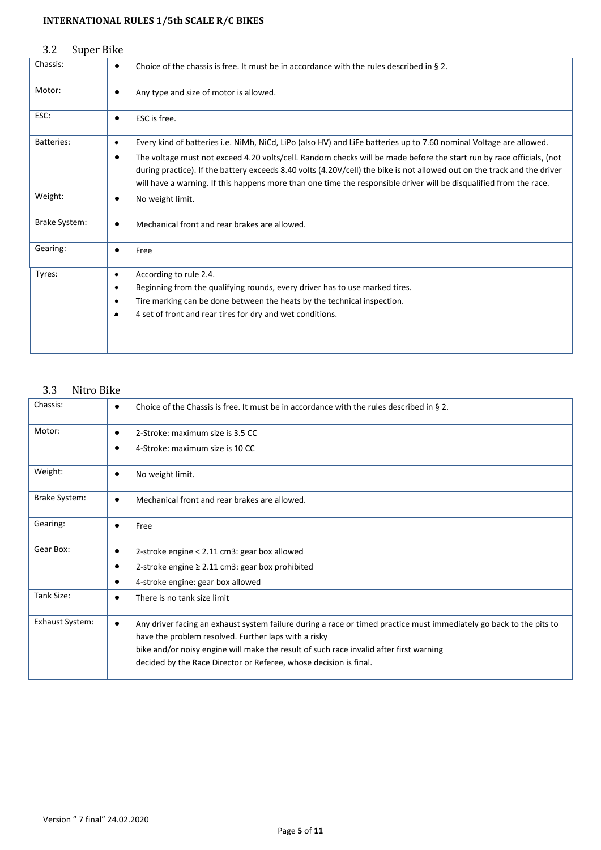<span id="page-4-0"></span>

| Super Bike<br>3.2 |                                                                                                                                                                                                                                                                                                                                                                             |
|-------------------|-----------------------------------------------------------------------------------------------------------------------------------------------------------------------------------------------------------------------------------------------------------------------------------------------------------------------------------------------------------------------------|
| Chassis:          | Choice of the chassis is free. It must be in accordance with the rules described in § 2.<br>$\bullet$                                                                                                                                                                                                                                                                       |
| Motor:            | Any type and size of motor is allowed.<br>٠                                                                                                                                                                                                                                                                                                                                 |
| ESC:              | ESC is free.<br>$\bullet$                                                                                                                                                                                                                                                                                                                                                   |
| <b>Batteries:</b> | Every kind of batteries i.e. NiMh, NiCd, LiPo (also HV) and LiFe batteries up to 7.60 nominal Voltage are allowed.<br>$\bullet$                                                                                                                                                                                                                                             |
|                   | The voltage must not exceed 4.20 volts/cell. Random checks will be made before the start run by race officials, (not<br>٠<br>during practice). If the battery exceeds 8.40 volts (4.20V/cell) the bike is not allowed out on the track and the driver<br>will have a warning. If this happens more than one time the responsible driver will be disqualified from the race. |
| Weight:           | No weight limit.<br>٠                                                                                                                                                                                                                                                                                                                                                       |
| Brake System:     | Mechanical front and rear brakes are allowed.<br>$\bullet$                                                                                                                                                                                                                                                                                                                  |
| Gearing:          | Free                                                                                                                                                                                                                                                                                                                                                                        |
| Tyres:            | According to rule 2.4.<br>$\bullet$                                                                                                                                                                                                                                                                                                                                         |
|                   | Beginning from the qualifying rounds, every driver has to use marked tires.<br>$\bullet$                                                                                                                                                                                                                                                                                    |
|                   | Tire marking can be done between the heats by the technical inspection.<br>$\bullet$                                                                                                                                                                                                                                                                                        |
|                   | 4 set of front and rear tires for dry and wet conditions.<br>$\bullet$                                                                                                                                                                                                                                                                                                      |
|                   |                                                                                                                                                                                                                                                                                                                                                                             |

# <span id="page-4-1"></span>3.3 Nitro Bike

| Chassis:               | Choice of the Chassis is free. It must be in accordance with the rules described in $\S$ 2.<br>٠                                                                                                                                                                                                                                                        |
|------------------------|---------------------------------------------------------------------------------------------------------------------------------------------------------------------------------------------------------------------------------------------------------------------------------------------------------------------------------------------------------|
| Motor:                 | 2-Stroke: maximum size is 3.5 CC<br>٠                                                                                                                                                                                                                                                                                                                   |
|                        | 4-Stroke: maximum size is 10 CC                                                                                                                                                                                                                                                                                                                         |
| Weight:                | No weight limit.<br>$\bullet$                                                                                                                                                                                                                                                                                                                           |
| <b>Brake System:</b>   | Mechanical front and rear brakes are allowed.<br>$\bullet$                                                                                                                                                                                                                                                                                              |
| Gearing:               | Free<br>٠                                                                                                                                                                                                                                                                                                                                               |
| Gear Box:              | 2-stroke engine < 2.11 cm3: gear box allowed<br>٠                                                                                                                                                                                                                                                                                                       |
|                        | 2-stroke engine $\geq 2.11$ cm3: gear box prohibited                                                                                                                                                                                                                                                                                                    |
|                        | 4-stroke engine: gear box allowed                                                                                                                                                                                                                                                                                                                       |
| Tank Size:             | There is no tank size limit<br>$\bullet$                                                                                                                                                                                                                                                                                                                |
| <b>Exhaust System:</b> | Any driver facing an exhaust system failure during a race or timed practice must immediately go back to the pits to<br>$\bullet$<br>have the problem resolved. Further laps with a risky<br>bike and/or noisy engine will make the result of such race invalid after first warning<br>decided by the Race Director or Referee, whose decision is final. |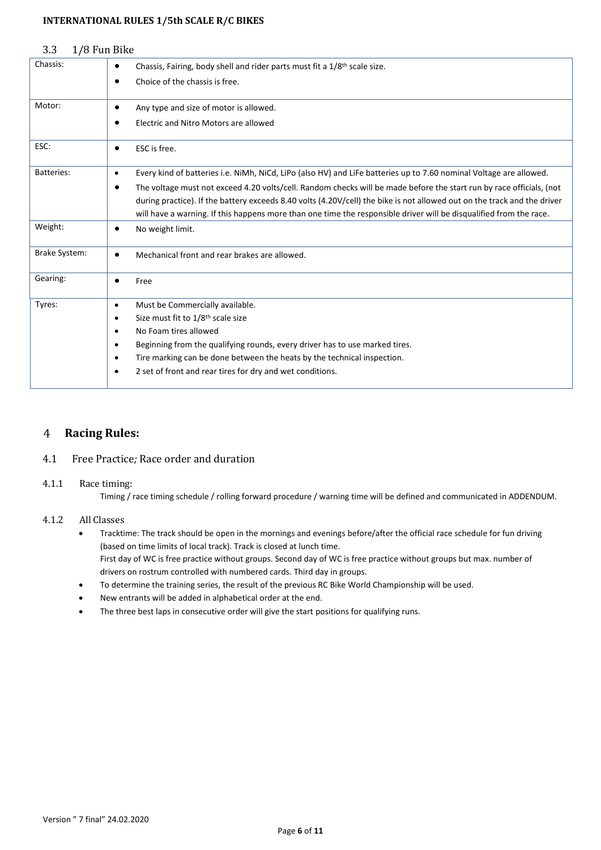<span id="page-5-0"></span>

| 3.3                  | 1/8 Fun Bike                                                                                                                                                                                                                                                                                                                                                                |
|----------------------|-----------------------------------------------------------------------------------------------------------------------------------------------------------------------------------------------------------------------------------------------------------------------------------------------------------------------------------------------------------------------------|
| Chassis:             | Chassis, Fairing, body shell and rider parts must fit a 1/8 <sup>th</sup> scale size.<br>$\bullet$                                                                                                                                                                                                                                                                          |
|                      | Choice of the chassis is free.<br>٠                                                                                                                                                                                                                                                                                                                                         |
| Motor:               | Any type and size of motor is allowed.<br>$\bullet$                                                                                                                                                                                                                                                                                                                         |
|                      | Electric and Nitro Motors are allowed<br>٠                                                                                                                                                                                                                                                                                                                                  |
| ESC:                 | ESC is free.<br>٠                                                                                                                                                                                                                                                                                                                                                           |
| <b>Batteries:</b>    | Every kind of batteries i.e. NiMh, NiCd, LiPo (also HV) and LiFe batteries up to 7.60 nominal Voltage are allowed.<br>$\bullet$                                                                                                                                                                                                                                             |
|                      | The voltage must not exceed 4.20 volts/cell. Random checks will be made before the start run by race officials, (not<br>٠<br>during practice). If the battery exceeds 8.40 volts (4.20V/cell) the bike is not allowed out on the track and the driver<br>will have a warning. If this happens more than one time the responsible driver will be disqualified from the race. |
| Weight:              | No weight limit.<br>٠                                                                                                                                                                                                                                                                                                                                                       |
| <b>Brake System:</b> | Mechanical front and rear brakes are allowed.<br>$\bullet$                                                                                                                                                                                                                                                                                                                  |
| Gearing:             | Free<br>$\bullet$                                                                                                                                                                                                                                                                                                                                                           |
| Tyres:               | Must be Commercially available.<br>$\bullet$                                                                                                                                                                                                                                                                                                                                |
|                      | Size must fit to 1/8 <sup>th</sup> scale size<br>$\bullet$                                                                                                                                                                                                                                                                                                                  |
|                      | No Foam tires allowed<br>$\bullet$                                                                                                                                                                                                                                                                                                                                          |
|                      | Beginning from the qualifying rounds, every driver has to use marked tires.<br>$\bullet$                                                                                                                                                                                                                                                                                    |
|                      | Tire marking can be done between the heats by the technical inspection.<br>$\bullet$                                                                                                                                                                                                                                                                                        |
|                      | 2 set of front and rear tires for dry and wet conditions.<br>$\bullet$                                                                                                                                                                                                                                                                                                      |

#### <span id="page-5-1"></span> $\overline{4}$ **Racing Rules:**

# <span id="page-5-2"></span>4.1 Free Practice*;* Race order and duration

# 4.1.1 Race timing:

Timing / race timing schedule / rolling forward procedure / warning time will be defined and communicated in ADDENDUM.

# 4.1.2 All Classes

- Tracktime: The track should be open in the mornings and evenings before/after the official race schedule for fun driving (based on time limits of local track). Track is closed at lunch time. First day of WC is free practice without groups. Second day of WC is free practice without groups but max. number of drivers on rostrum controlled with numbered cards. Third day in groups.
- To determine the training series, the result of the previous RC Bike World Championship will be used.
- New entrants will be added in alphabetical order at the end.
- The three best laps in consecutive order will give the start positions for qualifying runs.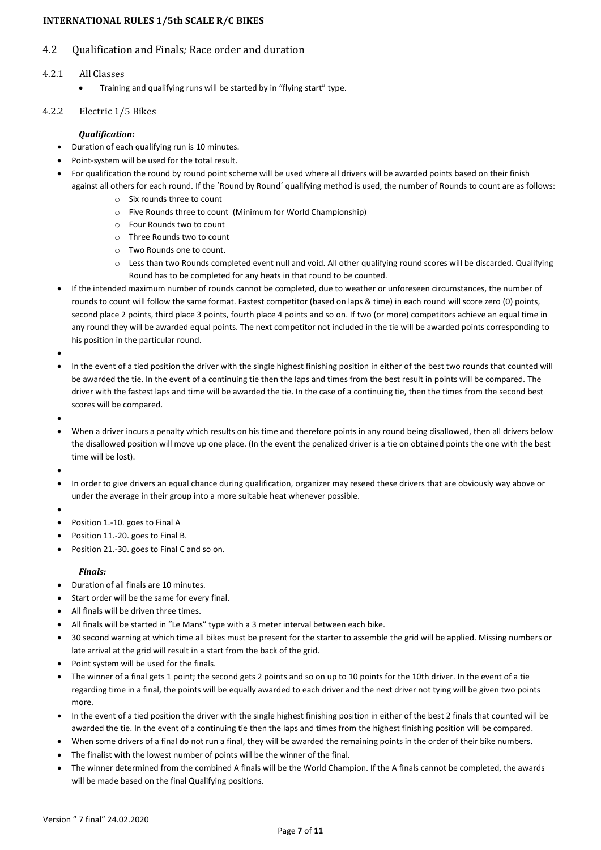# <span id="page-6-0"></span>4.2 Qualification and Finals*;* Race order and duration

### 4.2.1 All Classes

• Training and qualifying runs will be started by in "flying start" type.

### 4.2.2 Electric 1/5 Bikes

### *Qualification:*

- Duration of each qualifying run is 10 minutes.
- Point-system will be used for the total result.
- For qualification the round by round point scheme will be used where all drivers will be awarded points based on their finish against all others for each round. If the ´Round by Round´ qualifying method is used, the number of Rounds to count are as follows:
	- o Six rounds three to count
	- o Five Rounds three to count (Minimum for World Championship)
	- o Four Rounds two to count
	- o Three Rounds two to count
	- o Two Rounds one to count.
	- $\circ$  Less than two Rounds completed event null and void. All other qualifying round scores will be discarded. Qualifying Round has to be completed for any heats in that round to be counted.
- If the intended maximum number of rounds cannot be completed, due to weather or unforeseen circumstances, the number of rounds to count will follow the same format. Fastest competitor (based on laps & time) in each round will score zero (0) points, second place 2 points, third place 3 points, fourth place 4 points and so on. If two (or more) competitors achieve an equal time in any round they will be awarded equal points. The next competitor not included in the tie will be awarded points corresponding to his position in the particular round.

•

- In the event of a tied position the driver with the single highest finishing position in either of the best two rounds that counted will be awarded the tie. In the event of a continuing tie then the laps and times from the best result in points will be compared. The driver with the fastest laps and time will be awarded the tie. In the case of a continuing tie, then the times from the second best scores will be compared.
- •
- When a driver incurs a penalty which results on his time and therefore points in any round being disallowed, then all drivers below the disallowed position will move up one place. (In the event the penalized driver is a tie on obtained points the one with the best time will be lost).
- •
- In order to give drivers an equal chance during qualification, organizer may reseed these drivers that are obviously way above or under the average in their group into a more suitable heat whenever possible.
- •
- Position 1.-10. goes to Final A
- Position 11.-20. goes to Final B.
- Position 21.-30. goes to Final C and so on.

### *Finals:*

- Duration of all finals are 10 minutes.
- Start order will be the same for every final.
- All finals will be driven three times.
- All finals will be started in "Le Mans" type with a 3 meter interval between each bike.
- 30 second warning at which time all bikes must be present for the starter to assemble the grid will be applied. Missing numbers or late arrival at the grid will result in a start from the back of the grid.
- Point system will be used for the finals.
- The winner of a final gets 1 point; the second gets 2 points and so on up to 10 points for the 10th driver. In the event of a tie regarding time in a final, the points will be equally awarded to each driver and the next driver not tying will be given two points more.
- In the event of a tied position the driver with the single highest finishing position in either of the best 2 finals that counted will be awarded the tie. In the event of a continuing tie then the laps and times from the highest finishing position will be compared.
- When some drivers of a final do not run a final, they will be awarded the remaining points in the order of their bike numbers.
- The finalist with the lowest number of points will be the winner of the final.
- The winner determined from the combined A finals will be the World Champion. If the A finals cannot be completed, the awards will be made based on the final Qualifying positions.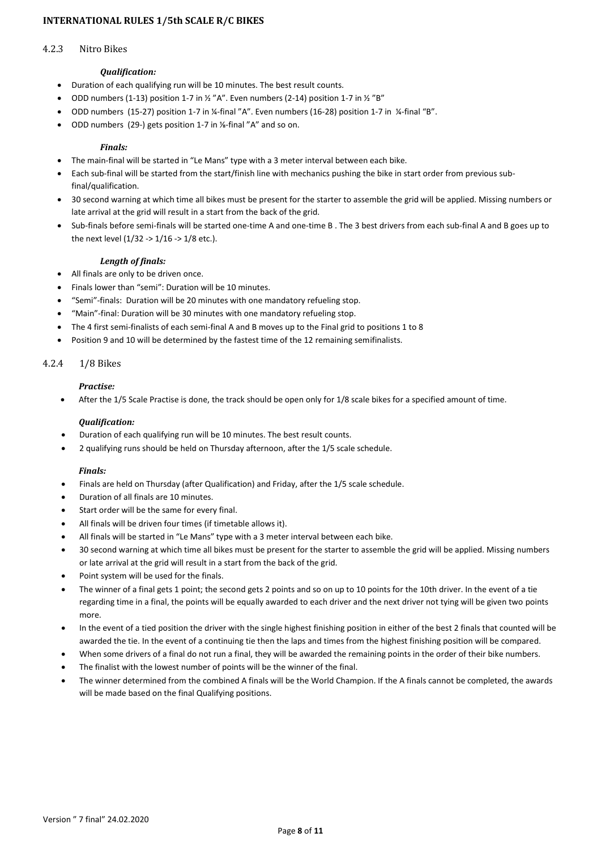#### 4.2.3 Nitro Bikes

#### *Qualification:*

- Duration of each qualifying run will be 10 minutes. The best result counts.
- ODD numbers (1-13) position 1-7 in  $\frac{1}{2}$  "A". Even numbers (2-14) position 1-7 in  $\frac{1}{2}$  "B"
- ODD numbers (15-27) position 1-7 in ¼-final "A". Even numbers (16-28) position 1-7 in ¼-final "B".
- ODD numbers (29-) gets position 1-7 in ⅛-final "A" and so on.

#### *Finals:*

- The main-final will be started in "Le Mans" type with a 3 meter interval between each bike.
- Each sub-final will be started from the start/finish line with mechanics pushing the bike in start order from previous subfinal/qualification.
- 30 second warning at which time all bikes must be present for the starter to assemble the grid will be applied. Missing numbers or late arrival at the grid will result in a start from the back of the grid.
- Sub-finals before semi-finals will be started one-time A and one-time B . The 3 best drivers from each sub-final A and B goes up to the next level (1/32 -> 1/16 -> 1/8 etc.).

#### *Length of finals:*

- All finals are only to be driven once.
- Finals lower than "semi": Duration will be 10 minutes.
- "Semi"-finals: Duration will be 20 minutes with one mandatory refueling stop.
- "Main"-final: Duration will be 30 minutes with one mandatory refueling stop.
- The 4 first semi-finalists of each semi-final A and B moves up to the Final grid to positions 1 to 8
- Position 9 and 10 will be determined by the fastest time of the 12 remaining semifinalists.

### 4.2.4 1/8 Bikes

#### *Practise:*

• After the 1/5 Scale Practise is done, the track should be open only for 1/8 scale bikes for a specified amount of time.

#### *Qualification:*

- Duration of each qualifying run will be 10 minutes. The best result counts.
- 2 qualifying runs should be held on Thursday afternoon, after the 1/5 scale schedule.

### *Finals:*

- Finals are held on Thursday (after Qualification) and Friday, after the 1/5 scale schedule.
- Duration of all finals are 10 minutes.
- Start order will be the same for every final.
- All finals will be driven four times (if timetable allows it).
- All finals will be started in "Le Mans" type with a 3 meter interval between each bike.
- 30 second warning at which time all bikes must be present for the starter to assemble the grid will be applied. Missing numbers or late arrival at the grid will result in a start from the back of the grid.
- Point system will be used for the finals.
- The winner of a final gets 1 point; the second gets 2 points and so on up to 10 points for the 10th driver. In the event of a tie regarding time in a final, the points will be equally awarded to each driver and the next driver not tying will be given two points more.
- In the event of a tied position the driver with the single highest finishing position in either of the best 2 finals that counted will be awarded the tie. In the event of a continuing tie then the laps and times from the highest finishing position will be compared.
- When some drivers of a final do not run a final, they will be awarded the remaining points in the order of their bike numbers.
- The finalist with the lowest number of points will be the winner of the final.
- The winner determined from the combined A finals will be the World Champion. If the A finals cannot be completed, the awards will be made based on the final Qualifying positions.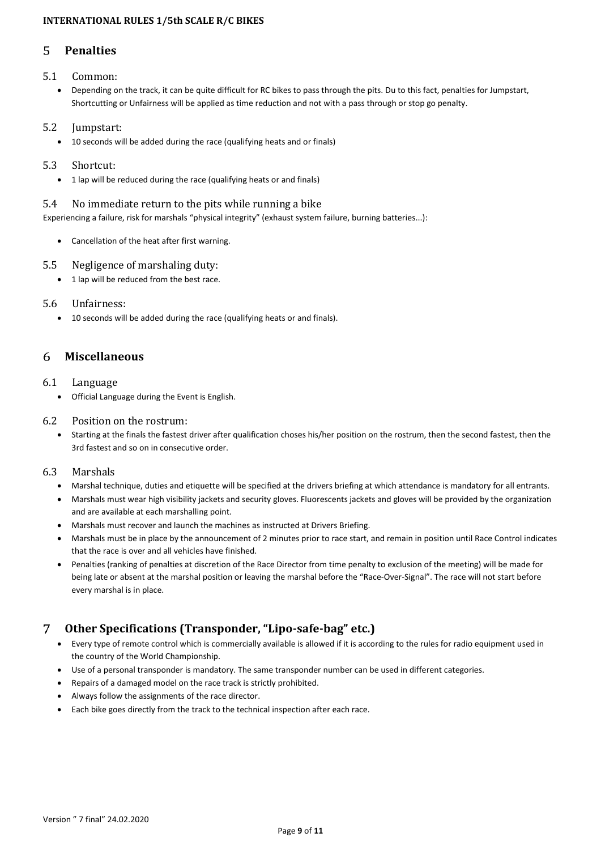#### <span id="page-8-0"></span>5 **Penalties**

# <span id="page-8-1"></span>5.1 Common:

• Depending on the track, it can be quite difficult for RC bikes to pass through the pits. Du to this fact, penalties for Jumpstart, Shortcutting or Unfairness will be applied as time reduction and not with a pass through or stop go penalty.

# <span id="page-8-2"></span>5.2 Jumpstart:

• 10 seconds will be added during the race (qualifying heats and or finals)

# <span id="page-8-3"></span>5.3 Shortcut:

• 1 lap will be reduced during the race (qualifying heats or and finals)

# <span id="page-8-4"></span>5.4 No immediate return to the pits while running a bike

Experiencing a failure, risk for marshals "physical integrity" (exhaust system failure, burning batteries...):

• Cancellation of the heat after first warning.

# <span id="page-8-5"></span>5.5 Negligence of marshaling duty:

• 1 lap will be reduced from the best race.

# <span id="page-8-6"></span>5.6 Unfairness:

• 10 seconds will be added during the race (qualifying heats or and finals).

#### <span id="page-8-7"></span>**Miscellaneous** 6

# <span id="page-8-8"></span>6.1 Language

• Official Language during the Event is English.

# <span id="page-8-9"></span>6.2 Position on the rostrum:

• Starting at the finals the fastest driver after qualification choses his/her position on the rostrum, then the second fastest, then the 3rd fastest and so on in consecutive order.

# <span id="page-8-10"></span>6.3 Marshals

- Marshal technique, duties and etiquette will be specified at the drivers briefing at which attendance is mandatory for all entrants.
- Marshals must wear high visibility jackets and security gloves. Fluorescents jackets and gloves will be provided by the organization and are available at each marshalling point.
- Marshals must recover and launch the machines as instructed at Drivers Briefing.
- Marshals must be in place by the announcement of 2 minutes prior to race start, and remain in position until Race Control indicates that the race is over and all vehicles have finished.
- Penalties (ranking of penalties at discretion of the Race Director from time penalty to exclusion of the meeting) will be made for being late or absent at the marshal position or leaving the marshal before the "Race-Over-Signal". The race will not start before every marshal is in place.

#### <span id="page-8-11"></span>7 **Other Specifications (Transponder, "Lipo-safe-bag" etc.)**

- Every type of remote control which is commercially available is allowed if it is according to the rules for radio equipment used in the country of the World Championship.
- Use of a personal transponder is mandatory. The same transponder number can be used in different categories.
- Repairs of a damaged model on the race track is strictly prohibited.
- Always follow the assignments of the race director.
- Each bike goes directly from the track to the technical inspection after each race.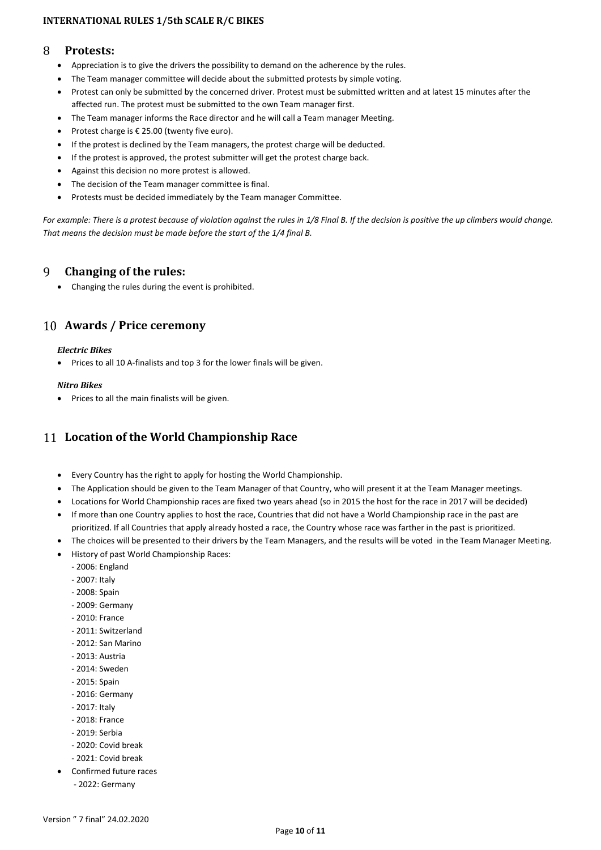#### <span id="page-9-0"></span>8 **Protests:**

- Appreciation is to give the drivers the possibility to demand on the adherence by the rules.
- The Team manager committee will decide about the submitted protests by simple voting.
- Protest can only be submitted by the concerned driver. Protest must be submitted written and at latest 15 minutes after the affected run. The protest must be submitted to the own Team manager first.
- The Team manager informs the Race director and he will call a Team manager Meeting.
- Protest charge is € 25.00 (twenty five euro).
- If the protest is declined by the Team managers, the protest charge will be deducted.
- If the protest is approved, the protest submitter will get the protest charge back.
- Against this decision no more protest is allowed.
- The decision of the Team manager committee is final.
- Protests must be decided immediately by the Team manager Committee.

*For example: There is a protest because of violation against the rules in 1/8 Final B. If the decision is positive the up climbers would change. That means the decision must be made before the start of the 1/4 final B.*

#### <span id="page-9-1"></span>9 **Changing of the rules:**

• Changing the rules during the event is prohibited.

# <span id="page-9-2"></span>**Awards / Price ceremony**

### *Electric Bikes*

• Prices to all 10 A-finalists and top 3 for the lower finals will be given.

#### *Nitro Bikes*

• Prices to all the main finalists will be given.

# <span id="page-9-3"></span>**Location of the World Championship Race**

- Every Country has the right to apply for hosting the World Championship.
- The Application should be given to the Team Manager of that Country, who will present it at the Team Manager meetings.
- Locations for World Championship races are fixed two years ahead (so in 2015 the host for the race in 2017 will be decided)
- If more than one Country applies to host the race, Countries that did not have a World Championship race in the past are prioritized. If all Countries that apply already hosted a race, the Country whose race was farther in the past is prioritized.
- The choices will be presented to their drivers by the Team Managers, and the results will be voted in the Team Manager Meeting.
- History of past World Championship Races:
	- 2006: England
	- 2007: Italy
	- 2008: Spain
	- 2009: Germany
	- $-2010$ ; France
	- 2011: Switzerland
	- 2012: San Marino
	- 2013: Austria
	- 2014: Sweden
	- 2015: Spain
	- 2016: Germany
	- 2017: Italy
	- 2018: France
	- 2019: Serbia
	- 2020: Covid break
	- 2021: Covid break
- Confirmed future races
	- 2022: Germany